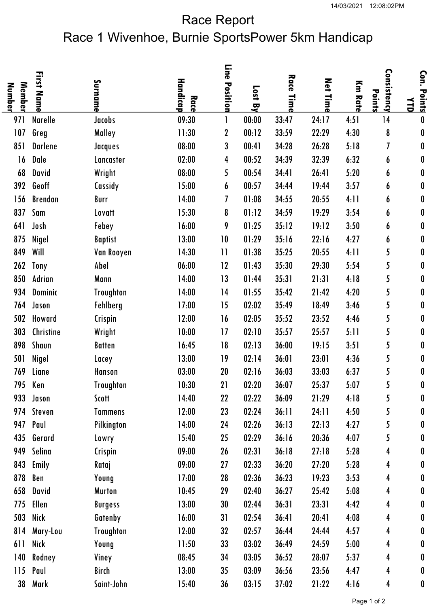## Race Report Race 1 Wivenhoe, Burnie SportsPower 5km Handicap

| Member<br>Number | <b>First</b><br><b>Name</b> | Surname          | Handica<br>Race | Line<br>Position | Lost<br>ᄝ | Race<br>Time | Net<br>Time | Km Rat | Consistency<br>Points | Con.<br>Points<br>ТР |
|------------------|-----------------------------|------------------|-----------------|------------------|-----------|--------------|-------------|--------|-----------------------|----------------------|
| 971              | <b>Narelle</b>              | Jacobs           | 09:30           | 1                | 00:00     | 33:47        | 24:17       | 4:51   | 14                    | 0                    |
| 107              | Greg                        | Malley           | 11:30           | $\boldsymbol{2}$ | 00:12     | 33:59        | 22:29       | 4:30   | 8                     | $\pmb{0}$            |
| 851              | <b>Darlene</b>              | Jacques          | 08:00           | 3                | 00:41     | 34:28        | 26:28       | 5:18   | 7                     | 0                    |
| 16               | Dale                        | Lancaster        | 02:00           | 4                | 00:52     | 34:39        | 32:39       | 6:32   | 6                     | 0                    |
| 68               | David                       | Wright           | 08:00           | 5                | 00:54     | 34:41        | 26:41       | 5:20   | 6                     | 0                    |
| 392              | Geoff                       | Cassidy          | 15:00           | 6                | 00:57     | 34:44        | 19:44       | 3:57   | 6                     | 0                    |
| 156              | <b>Brendan</b>              | Burr             | 14:00           | 7                | 01:08     | 34:55        | 20:55       | 4:11   | 6                     | 0                    |
| 837              | Sam                         | Lovatt           | 15:30           | 8                | 01:12     | 34:59        | 19:29       | 3:54   | 6                     | 0                    |
| 641              | Josh                        | Febey            | 16:00           | 9                | 01:25     | 35:12        | 19:12       | 3:50   | 6                     | 0                    |
| 875              | Nigel                       | <b>Baptist</b>   | 13:00           | 10               | 01:29     | 35:16        | 22:16       | 4:27   | 6                     | 0                    |
| 849              | Will                        | Van Rooyen       | 14:30           | $\mathbf{1}$     | 01:38     | 35:25        | 20:55       | 4:11   | 5                     | 0                    |
| 262              | Tony                        | Abel             | 06:00           | 12               | 01:43     | 35:30        | 29:30       | 5:54   | 5                     | 0                    |
| 850              | Adrian                      | Mann             | 14:00           | 13               | 01:44     | 35:31        | 21:31       | 4:18   | 5                     | $\pmb{0}$            |
| 934              | <b>Dominic</b>              | <b>Troughton</b> | 14:00           | 14               | 01:55     | 35:42        | 21:42       | 4:20   | 5                     | 0                    |
| 764              | Jason                       | Fehlberg         | 17:00           | 15               | 02:02     | 35:49        | 18:49       | 3:46   | 5                     | 0                    |
| 502              | Howard                      | Crispin          | 12:00           | 16               | 02:05     | 35:52        | 23:52       | 4:46   | 5                     | 0                    |
| 303              | Christine                   | Wright           | 10:00           | 17               | 02:10     | 35:57        | 25:57       | 5:11   | 5                     | 0                    |
| 898              | Shaun                       | <b>Batten</b>    | 16:45           | 18               | 02:13     | 36:00        | 19:15       | 3:51   | 5                     | 0                    |
| 501              | Nigel                       | Lacey            | 13:00           | 19               | 02:14     | 36:01        | 23:01       | 4:36   | 5                     | 0                    |
| 769              | Liane                       | <b>Hanson</b>    | 03:00           | 20               | 02:16     | 36:03        | 33:03       | 6:37   | 5                     | 0                    |
| 795              | Ken                         | <b>Troughton</b> | 10:30           | 21               | 02:20     | 36:07        | 25:37       | 5:07   | 5                     | 0                    |
|                  | 933 Jason                   | Scott            | 14:40           | 22               | 02:22     | 36:09        | 21:29       | 4:18   | 5                     | 0                    |
|                  | 974 Steven                  | <b>Tammens</b>   | 12:00           | 23               | 02:24     | 36:11        | 24:11       | 4:50   | 5                     | 0                    |
|                  | 947 Paul                    | Pilkington       | 14:00           | 24               | 02:26     | 36:13        | 22:13       | 4:27   | 5                     | 0                    |
|                  | 435 Gerard                  | Lowry            | 15:40           | 25               | 02:29     | 36:16        | 20:36       | 4:07   | 5                     | 0                    |
| 949              | Selina                      | Crispin          | 09:00           | 26               | 02:31     | 36:18        | 27:18       | 5:28   | 4                     | 0                    |
|                  | 843 Emily                   | Rataj            | 09:00           | 27               | 02:33     | 36:20        | 27:20       | 5:28   | 4                     | 0                    |
| 878              | Ben                         | Young            | 17:00           | 28               | 02:36     | 36:23        | 19:23       | 3:53   | 4                     | 0                    |
| 658              | David                       | <b>Murton</b>    | 10:45           | 29               | 02:40     | 36:27        | 25:42       | 5:08   | 4                     | 0                    |
| 775              | Ellen                       | <b>Burgess</b>   | 13:00           | 30               | 02:44     | 36:31        | 23:31       | 4:42   | 4                     | 0                    |
| 503              | Nick                        | Gatenby          | 16:00           | 31               | 02:54     | 36:41        | 20:41       | 4:08   | 4                     | 0                    |
| 814              | Mary-Lou                    | <b>Troughton</b> | 12:00           | 32               | 02:57     | 36:44        | 24:44       | 4:57   | 4                     | 0                    |
| 611              | Nick                        | Young            | 11:50           | 33               | 03:02     | 36:49        | 24:59       | 5:00   | 4                     | 0                    |
| 140              | Rodney                      | Viney            | 08:45           | 34               | 03:05     | 36:52        | 28:07       | 5:37   | 4                     | 0                    |
| 115              | Paul                        | Birch            | 13:00           | 35               | 03:09     | 36:56        | 23:56       | 4:47   | 4                     | 0                    |
| 38               | Mark                        | Saint-John       | 15:40           | 36               | 03:15     | 37:02        | 21:22       | 4:16   | 4                     | 0                    |
|                  |                             |                  |                 |                  |           |              |             |        |                       |                      |